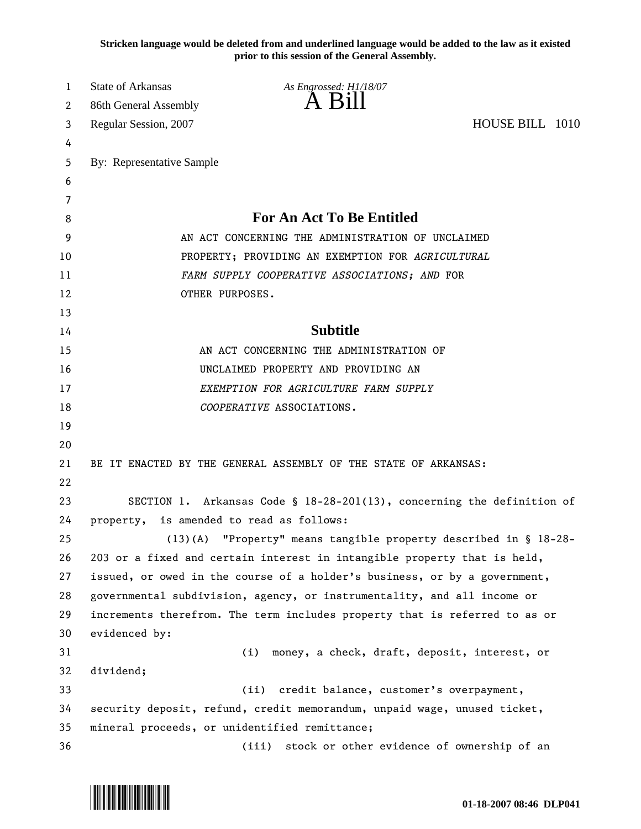**Stricken language would be deleted from and underlined language would be added to the law as it existed prior to this session of the General Assembly.**

| 1        | <b>State of Arkansas</b>                                                  | As Engrossed: H1/18/07                                                     |  |  |
|----------|---------------------------------------------------------------------------|----------------------------------------------------------------------------|--|--|
| 2        | 86th General Assembly                                                     | $\overline{A}$ $\overline{B}1$                                             |  |  |
| 3        | HOUSE BILL 1010<br>Regular Session, 2007                                  |                                                                            |  |  |
| 4        |                                                                           |                                                                            |  |  |
| 5        | By: Representative Sample                                                 |                                                                            |  |  |
| 6        |                                                                           |                                                                            |  |  |
| 7        |                                                                           |                                                                            |  |  |
| 8        |                                                                           | For An Act To Be Entitled                                                  |  |  |
| 9        |                                                                           | AN ACT CONCERNING THE ADMINISTRATION OF UNCLAIMED                          |  |  |
| 10       | PROPERTY; PROVIDING AN EXEMPTION FOR AGRICULTURAL                         |                                                                            |  |  |
| 11       | FARM SUPPLY COOPERATIVE ASSOCIATIONS; AND FOR                             |                                                                            |  |  |
| 12       | OTHER PURPOSES.                                                           |                                                                            |  |  |
| 13       |                                                                           |                                                                            |  |  |
| 14       | <b>Subtitle</b>                                                           |                                                                            |  |  |
| 15       | AN ACT CONCERNING THE ADMINISTRATION OF                                   |                                                                            |  |  |
| 16       | UNCLAIMED PROPERTY AND PROVIDING AN                                       |                                                                            |  |  |
| 17       | EXEMPTION FOR AGRICULTURE FARM SUPPLY                                     |                                                                            |  |  |
| 18       |                                                                           | COOPERATIVE ASSOCIATIONS.                                                  |  |  |
| 19       |                                                                           |                                                                            |  |  |
| 20       |                                                                           |                                                                            |  |  |
| 21<br>22 | BE IT ENACTED BY THE GENERAL ASSEMBLY OF THE STATE OF ARKANSAS:           |                                                                            |  |  |
| 23       |                                                                           | SECTION 1. Arkansas Code § 18-28-201(13), concerning the definition of     |  |  |
| 24       | is amended to read as follows:<br>property,                               |                                                                            |  |  |
| 25       | (13)(A) "Property" means tangible property described in § 18-28-          |                                                                            |  |  |
| 26       | 203 or a fixed and certain interest in intangible property that is held,  |                                                                            |  |  |
| 27       | issued, or owed in the course of a holder's business, or by a government, |                                                                            |  |  |
| 28       |                                                                           | governmental subdivision, agency, or instrumentality, and all income or    |  |  |
| 29       |                                                                           | increments therefrom. The term includes property that is referred to as or |  |  |
| 30       | evidenced by:                                                             |                                                                            |  |  |
| 31       |                                                                           | money, a check, draft, deposit, interest, or<br>(i)                        |  |  |
| 32       | dividend;                                                                 |                                                                            |  |  |
| 33       | credit balance, customer's overpayment,<br>(ii)                           |                                                                            |  |  |
| 34       | security deposit, refund, credit memorandum, unpaid wage, unused ticket,  |                                                                            |  |  |
| 35       | mineral proceeds, or unidentified remittance;                             |                                                                            |  |  |
| 36       |                                                                           | stock or other evidence of ownership of an<br>(iii)                        |  |  |
|          |                                                                           |                                                                            |  |  |